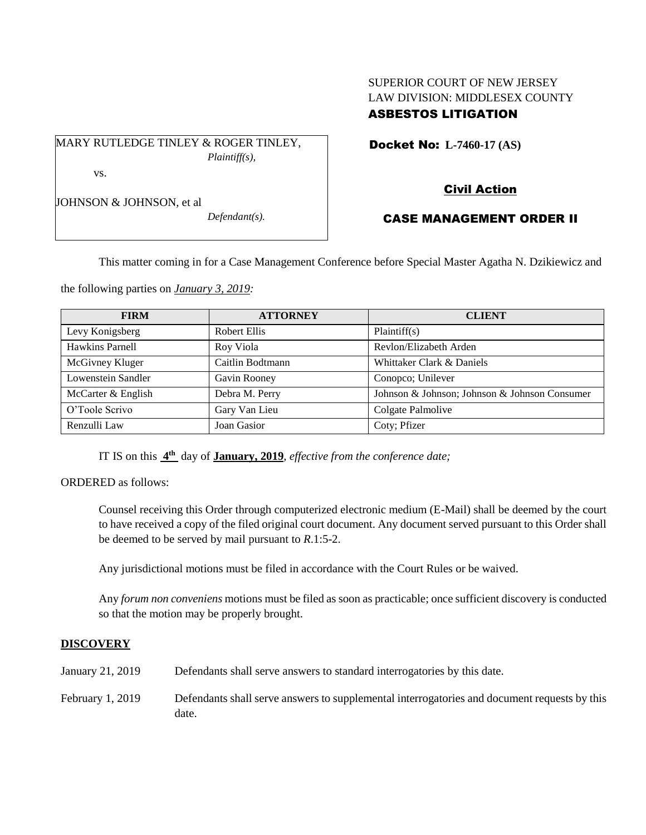# SUPERIOR COURT OF NEW JERSEY LAW DIVISION: MIDDLESEX COUNTY ASBESTOS LITIGATION

Docket No: **L-7460-17 (AS)** 

MARY RUTLEDGE TINLEY & ROGER TINLEY, *Plaintiff(s),*

vs.

JOHNSON & JOHNSON, et al

*Defendant(s).*

# Civil Action

# CASE MANAGEMENT ORDER II

This matter coming in for a Case Management Conference before Special Master Agatha N. Dzikiewicz and

the following parties on *January 3, 2019:*

| <b>FIRM</b>        | <b>ATTORNEY</b>  | <b>CLIENT</b>                                 |
|--------------------|------------------|-----------------------------------------------|
| Levy Konigsberg    | Robert Ellis     | Plaintiff(s)                                  |
| Hawkins Parnell    | Roy Viola        | Revlon/Elizabeth Arden                        |
| McGivney Kluger    | Caitlin Bodtmann | Whittaker Clark & Daniels                     |
| Lowenstein Sandler | Gavin Rooney     | Conopco; Unilever                             |
| McCarter & English | Debra M. Perry   | Johnson & Johnson; Johnson & Johnson Consumer |
| O'Toole Scrivo     | Gary Van Lieu    | Colgate Palmolive                             |
| Renzulli Law       | Joan Gasior      | Coty; Pfizer                                  |

IT IS on this **4 th** day of **January, 2019**, *effective from the conference date;*

ORDERED as follows:

Counsel receiving this Order through computerized electronic medium (E-Mail) shall be deemed by the court to have received a copy of the filed original court document. Any document served pursuant to this Order shall be deemed to be served by mail pursuant to *R*.1:5-2.

Any jurisdictional motions must be filed in accordance with the Court Rules or be waived.

Any *forum non conveniens* motions must be filed as soon as practicable; once sufficient discovery is conducted so that the motion may be properly brought.

### **DISCOVERY**

January 21, 2019 Defendants shall serve answers to standard interrogatories by this date. February 1, 2019 Defendants shall serve answers to supplemental interrogatories and document requests by this date.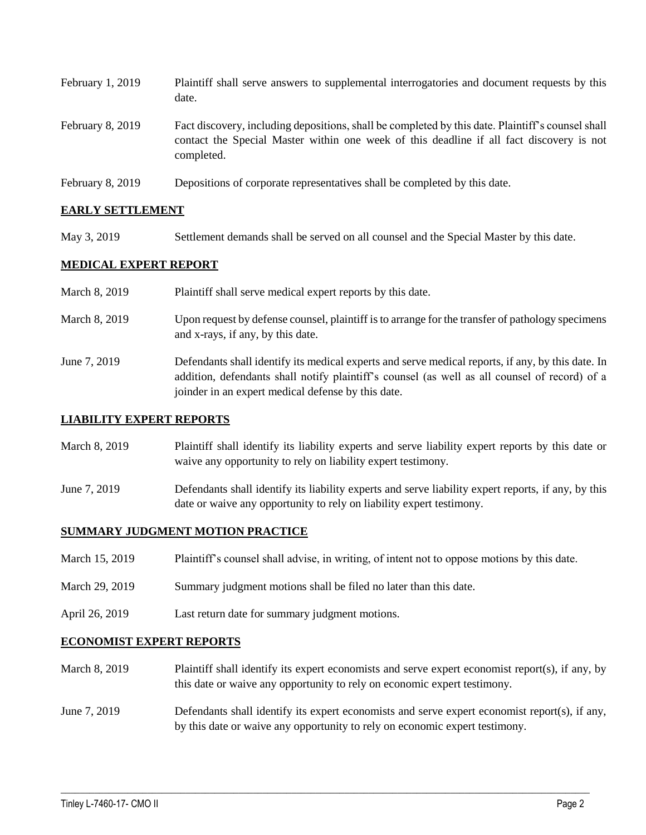| February 1, 2019        | Plaintiff shall serve answers to supplemental interrogatories and document requests by this<br>date.                                                                                                        |
|-------------------------|-------------------------------------------------------------------------------------------------------------------------------------------------------------------------------------------------------------|
| February 8, 2019        | Fact discovery, including depositions, shall be completed by this date. Plaintiff's counsel shall<br>contact the Special Master within one week of this deadline if all fact discovery is not<br>completed. |
| <b>February 8, 2019</b> | Depositions of corporate representatives shall be completed by this date.                                                                                                                                   |

# **EARLY SETTLEMENT**

May 3, 2019 Settlement demands shall be served on all counsel and the Special Master by this date.

# **MEDICAL EXPERT REPORT**

| March 8, 2019 | Plaintiff shall serve medical expert reports by this date.                                                                                                                                                                                               |
|---------------|----------------------------------------------------------------------------------------------------------------------------------------------------------------------------------------------------------------------------------------------------------|
| March 8, 2019 | Upon request by defense counsel, plaintiff is to arrange for the transfer of pathology specimens<br>and x-rays, if any, by this date.                                                                                                                    |
| June 7, 2019  | Defendants shall identify its medical experts and serve medical reports, if any, by this date. In<br>addition, defendants shall notify plaintiff's counsel (as well as all counsel of record) of a<br>joinder in an expert medical defense by this date. |

#### **LIABILITY EXPERT REPORTS**

- March 8, 2019 Plaintiff shall identify its liability experts and serve liability expert reports by this date or waive any opportunity to rely on liability expert testimony.
- June 7, 2019 Defendants shall identify its liability experts and serve liability expert reports, if any, by this date or waive any opportunity to rely on liability expert testimony.

#### **SUMMARY JUDGMENT MOTION PRACTICE**

- March 15, 2019 Plaintiff's counsel shall advise, in writing, of intent not to oppose motions by this date.
- March 29, 2019 Summary judgment motions shall be filed no later than this date.
- April 26, 2019 Last return date for summary judgment motions.

#### **ECONOMIST EXPERT REPORTS**

- March 8, 2019 Plaintiff shall identify its expert economists and serve expert economist report(s), if any, by this date or waive any opportunity to rely on economic expert testimony.
- June 7, 2019 Defendants shall identify its expert economists and serve expert economist report(s), if any, by this date or waive any opportunity to rely on economic expert testimony.

 $\_$  ,  $\_$  ,  $\_$  ,  $\_$  ,  $\_$  ,  $\_$  ,  $\_$  ,  $\_$  ,  $\_$  ,  $\_$  ,  $\_$  ,  $\_$  ,  $\_$  ,  $\_$  ,  $\_$  ,  $\_$  ,  $\_$  ,  $\_$  ,  $\_$  ,  $\_$  ,  $\_$  ,  $\_$  ,  $\_$  ,  $\_$  ,  $\_$  ,  $\_$  ,  $\_$  ,  $\_$  ,  $\_$  ,  $\_$  ,  $\_$  ,  $\_$  ,  $\_$  ,  $\_$  ,  $\_$  ,  $\_$  ,  $\_$  ,